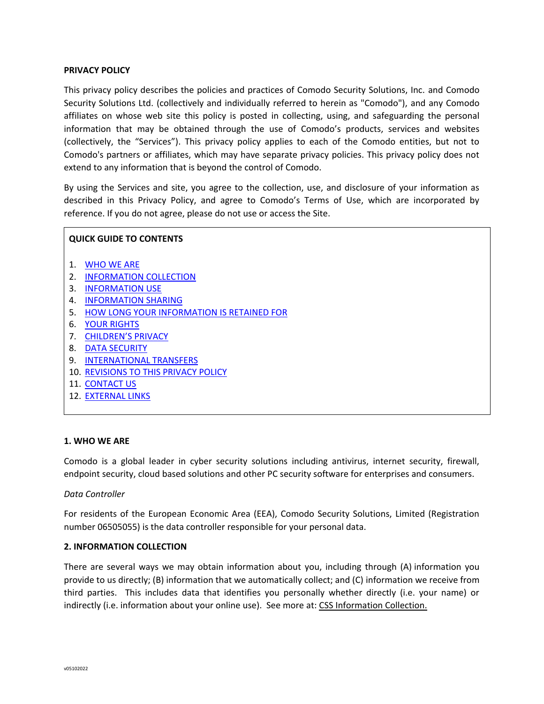### **PRIVACY POLICY**

This privacy policy describes the policies and practices of Comodo Security Solutions, Inc. and Comodo Security Solutions Ltd. (collectively and individually referred to herein as "Comodo"), and any Comodo affiliates on whose web site this policy is posted in collecting, using, and safeguarding the personal information that may be obtained through the use of Comodo's products, services and websites (collectively, the "Services"). This privacy policy applies to each of the Comodo entities, but not to Comodo's partners or affiliates, which may have separate privacy policies. This privacy policy does not extend to any information that is beyond the control of Comodo.

By using the Services and site, you agree to the collection, use, and disclosure of your information as described in this Privacy Policy, and agree to Comodo's Terms of Use, which are incorporated by reference. If you do not agree, please do not use or access the Site.

## **QUICK GUIDE TO CONTENTS**

- 1. WHO WE ARE
- 2. INFORMATION COLLECTION
- 3. INFORMATION USE
- 4. INFORMATION SHARING
- 5. HOW LONG YOUR INFORMATION IS RETAINED FOR
- 6. YOUR RIGHTS
- 7. CHILDREN'S PRIVACY
- 8. DATA SECURITY
- 9. INTERNATIONAL TRANSFERS
- 10. REVISIONS TO THIS PRIVACY POLICY
- 11. CONTACT US
- 12. EXTERNAL LINKS

### **1. WHO WE ARE**

Comodo is a global leader in cyber security solutions including antivirus, internet security, firewall, endpoint security, cloud based solutions and other PC security software for enterprises and consumers.

### *Data Controller*

For residents of the European Economic Area (EEA), Comodo Security Solutions, Limited (Registration number 06505055) is the data controller responsible for your personal data.

### **2. INFORMATION COLLECTION**

There are several ways we may obtain information about you, including through (A) information you provide to us directly; (B) information that we automatically collect; and (C) information we receive from third parties. This includes data that identifies you personally whether directly (i.e. your name) or indirectly (i.e. information about your online use). See more at: CSS Information Collection.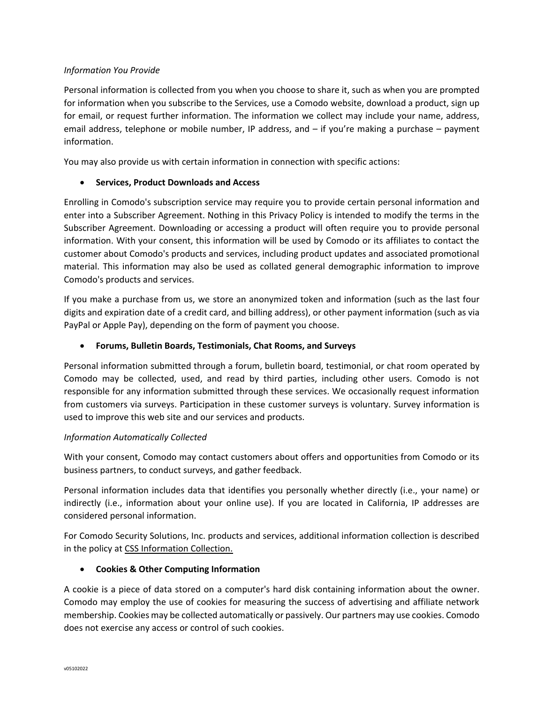## *Information You Provide*

Personal information is collected from you when you choose to share it, such as when you are prompted for information when you subscribe to the Services, use a Comodo website, download a product, sign up for email, or request further information. The information we collect may include your name, address, email address, telephone or mobile number, IP address, and – if you're making a purchase – payment information.

You may also provide us with certain information in connection with specific actions:

# • **Services, Product Downloads and Access**

Enrolling in Comodo's subscription service may require you to provide certain personal information and enter into a Subscriber Agreement. Nothing in this Privacy Policy is intended to modify the terms in the Subscriber Agreement. Downloading or accessing a product will often require you to provide personal information. With your consent, this information will be used by Comodo or its affiliates to contact the customer about Comodo's products and services, including product updates and associated promotional material. This information may also be used as collated general demographic information to improve Comodo's products and services.

If you make a purchase from us, we store an anonymized token and information (such as the last four digits and expiration date of a credit card, and billing address), or other payment information (such as via PayPal or Apple Pay), depending on the form of payment you choose.

# • **Forums, Bulletin Boards, Testimonials, Chat Rooms, and Surveys**

Personal information submitted through a forum, bulletin board, testimonial, or chat room operated by Comodo may be collected, used, and read by third parties, including other users. Comodo is not responsible for any information submitted through these services. We occasionally request information from customers via surveys. Participation in these customer surveys is voluntary. Survey information is used to improve this web site and our services and products.

## *Information Automatically Collected*

With your consent, Comodo may contact customers about offers and opportunities from Comodo or its business partners, to conduct surveys, and gather feedback.

Personal information includes data that identifies you personally whether directly (i.e., your name) or indirectly (i.e., information about your online use). If you are located in California, IP addresses are considered personal information.

For Comodo Security Solutions, Inc. products and services, additional information collection is described in the policy at [CSS Information Collection.](https://www.comodo.com/repository/css-information-collection.php)

# • **Cookies & Other Computing Information**

A cookie is a piece of data stored on a computer's hard disk containing information about the owner. Comodo may employ the use of cookies for measuring the success of advertising and affiliate network membership. Cookies may be collected automatically or passively. Our partners may use cookies. Comodo does not exercise any access or control of such cookies.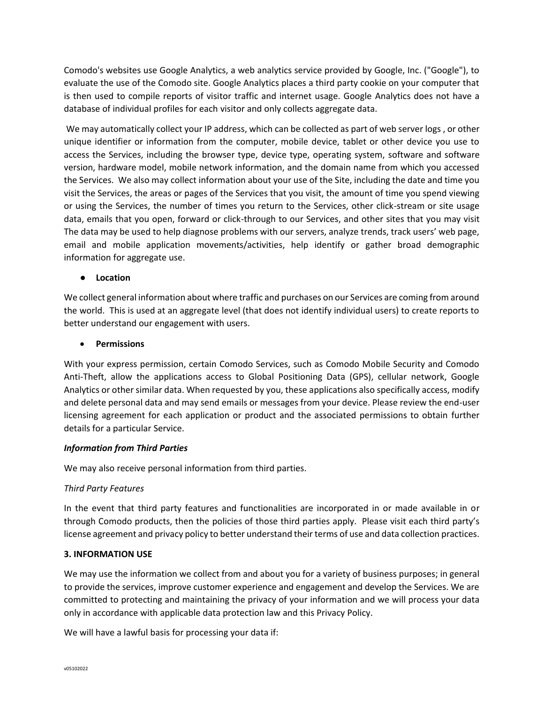Comodo's websites use Google Analytics, a web analytics service provided by Google, Inc. ("Google"), to evaluate the use of the Comodo site. Google Analytics places a third party cookie on your computer that is then used to compile reports of visitor traffic and internet usage. Google Analytics does not have a database of individual profiles for each visitor and only collects aggregate data.

We may automatically collect your IP address, which can be collected as part of web server logs, or other unique identifier or information from the computer, mobile device, tablet or other device you use to access the Services, including the browser type, device type, operating system, software and software version, hardware model, mobile network information, and the domain name from which you accessed the Services. We also may collect information about your use of the Site, including the date and time you visit the Services, the areas or pages of the Services that you visit, the amount of time you spend viewing or using the Services, the number of times you return to the Services, other click-stream or site usage data, emails that you open, forward or click-through to our Services, and other sites that you may visit The data may be used to help diagnose problems with our servers, analyze trends, track users' web page, email and mobile application movements/activities, help identify or gather broad demographic information for aggregate use.

## ● **Location**

We collect general information about where traffic and purchases on our Services are coming from around the world. This is used at an aggregate level (that does not identify individual users) to create reports to better understand our engagement with users.

# • **Permissions**

With your express permission, certain Comodo Services, such as Comodo Mobile Security and Comodo Anti-Theft, allow the applications access to Global Positioning Data (GPS), cellular network, Google Analytics or other similar data. When requested by you, these applications also specifically access, modify and delete personal data and may send emails or messages from your device. Please review the end-user licensing agreement for each application or product and the associated permissions to obtain further details for a particular Service.

## *Information from Third Parties*

We may also receive personal information from third parties.

## *Third Party Features*

In the event that third party features and functionalities are incorporated in or made available in or through Comodo products, then the policies of those third parties apply. Please visit each third party's license agreement and privacy policy to better understand their terms of use and data collection practices.

## **3. INFORMATION USE**

We may use the information we collect from and about you for a variety of business purposes; in general to provide the services, improve customer experience and engagement and develop the Services. We are committed to protecting and maintaining the privacy of your information and we will process your data only in accordance with applicable data protection law and this Privacy Policy.

We will have a lawful basis for processing your data if: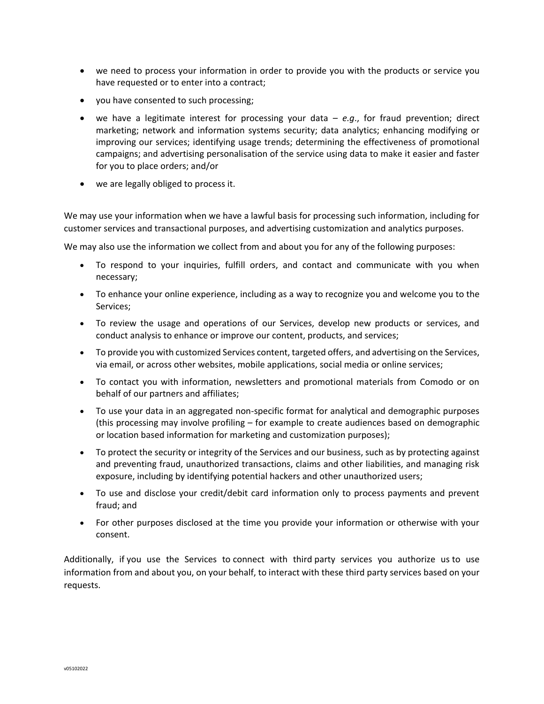- we need to process your information in order to provide you with the products or service you have requested or to enter into a contract;
- you have consented to such processing;
- we have a legitimate interest for processing your data  $-e.g.,$  for fraud prevention; direct marketing; network and information systems security; data analytics; enhancing modifying or improving our services; identifying usage trends; determining the effectiveness of promotional campaigns; and advertising personalisation of the service using data to make it easier and faster for you to place orders; and/or
- we are legally obliged to process it.

We may use your information when we have a lawful basis for processing such information, including for customer services and transactional purposes, and advertising customization and analytics purposes.

We may also use the information we collect from and about you for any of the following purposes:

- To respond to your inquiries, fulfill orders, and contact and communicate with you when necessary;
- To enhance your online experience, including as a way to recognize you and welcome you to the Services;
- To review the usage and operations of our Services, develop new products or services, and conduct analysis to enhance or improve our content, products, and services;
- To provide you with customized Services content, targeted offers, and advertising on the Services, via email, or across other websites, mobile applications, social media or online services;
- To contact you with information, newsletters and promotional materials from Comodo or on behalf of our partners and affiliates;
- To use your data in an aggregated non-specific format for analytical and demographic purposes (this processing may involve profiling – for example to create audiences based on demographic or location based information for marketing and customization purposes);
- To protect the security or integrity of the Services and our business, such as by protecting against and preventing fraud, unauthorized transactions, claims and other liabilities, and managing risk exposure, including by identifying potential hackers and other unauthorized users;
- To use and disclose your credit/debit card information only to process payments and prevent fraud; and
- For other purposes disclosed at the time you provide your information or otherwise with your consent.

Additionally, if you use the Services to connect with third party services you authorize us to use information from and about you, on your behalf, to interact with these third party services based on your requests.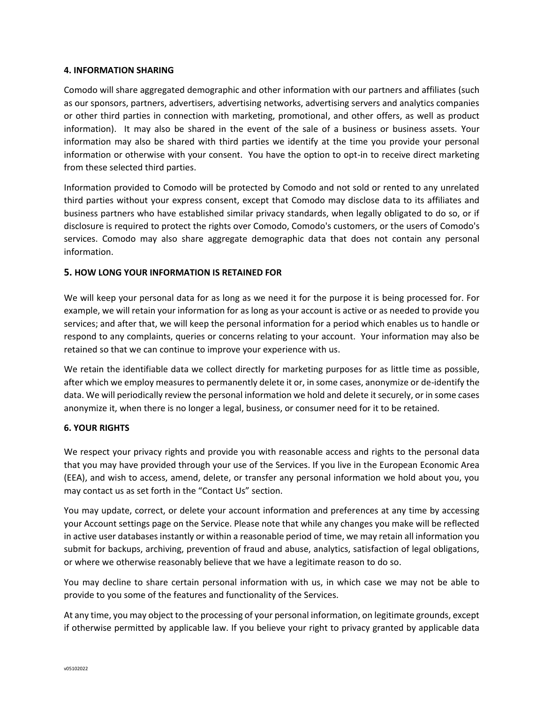### **4. INFORMATION SHARING**

Comodo will share aggregated demographic and other information with our partners and affiliates (such as our sponsors, partners, advertisers, advertising networks, advertising servers and analytics companies or other third parties in connection with marketing, promotional, and other offers, as well as product information). It may also be shared in the event of the sale of a business or business assets. Your information may also be shared with third parties we identify at the time you provide your personal information or otherwise with your consent. You have the option to opt-in to receive direct marketing from these selected third parties.

Information provided to Comodo will be protected by Comodo and not sold or rented to any unrelated third parties without your express consent, except that Comodo may disclose data to its affiliates and business partners who have established similar privacy standards, when legally obligated to do so, or if disclosure is required to protect the rights over Comodo, Comodo's customers, or the users of Comodo's services. Comodo may also share aggregate demographic data that does not contain any personal information.

## **5. HOW LONG YOUR INFORMATION IS RETAINED FOR**

We will keep your personal data for as long as we need it for the purpose it is being processed for. For example, we will retain your information for as long as your account is active or as needed to provide you services; and after that, we will keep the personal information for a period which enables us to handle or respond to any complaints, queries or concerns relating to your account. Your information may also be retained so that we can continue to improve your experience with us.

We retain the identifiable data we collect directly for marketing purposes for as little time as possible, after which we employ measures to permanently delete it or, in some cases, anonymize or de-identify the data. We will periodically review the personal information we hold and delete it securely, or in some cases anonymize it, when there is no longer a legal, business, or consumer need for it to be retained.

## **6. YOUR RIGHTS**

We respect your privacy rights and provide you with reasonable access and rights to the personal data that you may have provided through your use of the Services. If you live in the European Economic Area (EEA), and wish to access, amend, delete, or transfer any personal information we hold about you, you may contact us as set forth in the "Contact Us" section.

You may update, correct, or delete your account information and preferences at any time by accessing your Account settings page on the Service. Please note that while any changes you make will be reflected in active user databases instantly or within a reasonable period of time, we may retain all information you submit for backups, archiving, prevention of fraud and abuse, analytics, satisfaction of legal obligations, or where we otherwise reasonably believe that we have a legitimate reason to do so.

You may decline to share certain personal information with us, in which case we may not be able to provide to you some of the features and functionality of the Services.

At any time, you may object to the processing of your personal information, on legitimate grounds, except if otherwise permitted by applicable law. If you believe your right to privacy granted by applicable data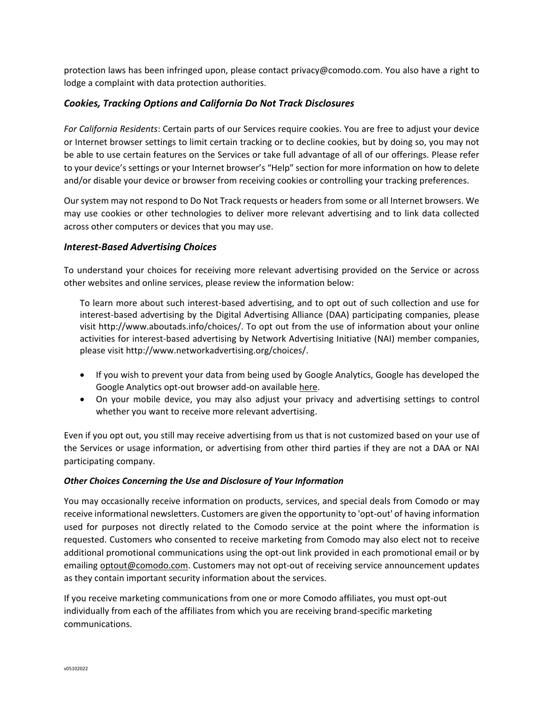protection laws has been infringed upon, please contact privacy@comodo.com. You also have a right to lodge a complaint with data protection authorities.

# *Cookies, Tracking Options and California Do Not Track Disclosures*

*For California Residents*: Certain parts of our Services require cookies. You are free to adjust your device or Internet browser settings to limit certain tracking or to decline cookies, but by doing so, you may not be able to use certain features on the Services or take full advantage of all of our offerings. Please refer to your device's settings or your Internet browser's "Help" section for more information on how to delete and/or disable your device or browser from receiving cookies or controlling your tracking preferences.

Our system may not respond to Do Not Track requests or headers from some or all Internet browsers. We may use cookies or other technologies to deliver more relevant advertising and to link data collected across other computers or devices that you may use.

# *Interest-Based Advertising Choices*

To understand your choices for receiving more relevant advertising provided on the Service or across other websites and online services, please review the information below:

To learn more about such interest-based advertising, and to opt out of such collection and use for interest-based advertising by the Digital Advertising Alliance (DAA) participating companies, please visit http://www.aboutads.info/choices/. To opt out from the use of information about your online activities for interest-based advertising by Network Advertising Initiative (NAI) member companies, please visit [http://www.networkadvertising.org/choices/.](http://www.networkadvertising.org/choices/)

- If you wish to prevent your data from being used by Google Analytics, Google has developed the Google Analytics opt-out browser add-on available [here.](https://tools.google.com/dlpage/gaoptout/)
- On your mobile device, you may also adjust your privacy and advertising settings to control whether you want to receive more relevant advertising.

Even if you opt out, you still may receive advertising from us that is not customized based on your use of the Services or usage information, or advertising from other third parties if they are not a DAA or NAI participating company.

## *Other Choices Concerning the Use and Disclosure of Your Information*

You may occasionally receive information on products, services, and special deals from Comodo or may receive informational newsletters. Customers are given the opportunity to 'opt-out' of having information used for purposes not directly related to the Comodo service at the point where the information is requested. Customers who consented to receive marketing from Comodo may also elect not to receive additional promotional communications using the opt-out link provided in each promotional email or by emailing [optout@comodo.com.](mailto:optout@comodo.com) Customers may not opt-out of receiving service announcement updates as they contain important security information about the services.

If you receive marketing communications from one or more Comodo affiliates, you must opt-out individually from each of the affiliates from which you are receiving brand-specific marketing communications.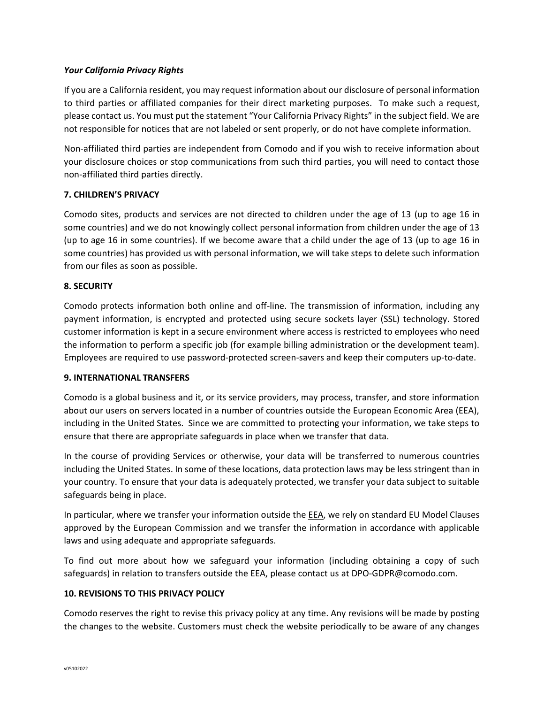## *Your California Privacy Rights*

If you are a California resident, you may request information about our disclosure of personal information to third parties or affiliated companies for their direct marketing purposes. To make such a request, please contact us. You must put the statement "Your California Privacy Rights" in the subject field. We are not responsible for notices that are not labeled or sent properly, or do not have complete information.

Non-affiliated third parties are independent from Comodo and if you wish to receive information about your disclosure choices or stop communications from such third parties, you will need to contact those non-affiliated third parties directly.

# **7. CHILDREN'S PRIVACY**

Comodo sites, products and services are not directed to children under the age of 13 (up to age 16 in some countries) and we do not knowingly collect personal information from children under the age of 13 (up to age 16 in some countries). If we become aware that a child under the age of 13 (up to age 16 in some countries) has provided us with personal information, we will take steps to delete such information from our files as soon as possible.

# **8. SECURITY**

Comodo protects information both online and off-line. The transmission of information, including any payment information, is encrypted and protected using secure sockets layer (SSL) technology. Stored customer information is kept in a secure environment where access is restricted to employees who need the information to perform a specific job (for example billing administration or the development team). Employees are required to use password-protected screen-savers and keep their computers up-to-date.

## **9. INTERNATIONAL TRANSFERS**

Comodo is a global business and it, or its service providers, may process, transfer, and store information about our users on servers located in a number of countries outside the European Economic Area (EEA), including in the United States. Since we are committed to protecting your information, we take steps to ensure that there are appropriate safeguards in place when we transfer that data.

In the course of providing Services or otherwise, your data will be transferred to numerous countries including the United States. In some of these locations, data protection laws may be less stringent than in your country. To ensure that your data is adequately protected, we transfer your data subject to suitable safeguards being in place.

In particular, where we transfer your information outside the EEA, we rely on standard EU Model Clauses approved by the European Commission and we transfer the information in accordance with applicable laws and using adequate and appropriate safeguards.

To find out more about how we safeguard your information (including obtaining a copy of such safeguards) in relation to transfers outside the EEA, please contact us at [DPO-GDPR@comodo.com.](mailto:DPO-GDPR@comodo.com)

## **10. REVISIONS TO THIS PRIVACY POLICY**

Comodo reserves the right to revise this privacy policy at any time. Any revisions will be made by posting the changes to the website. Customers must check the website periodically to be aware of any changes